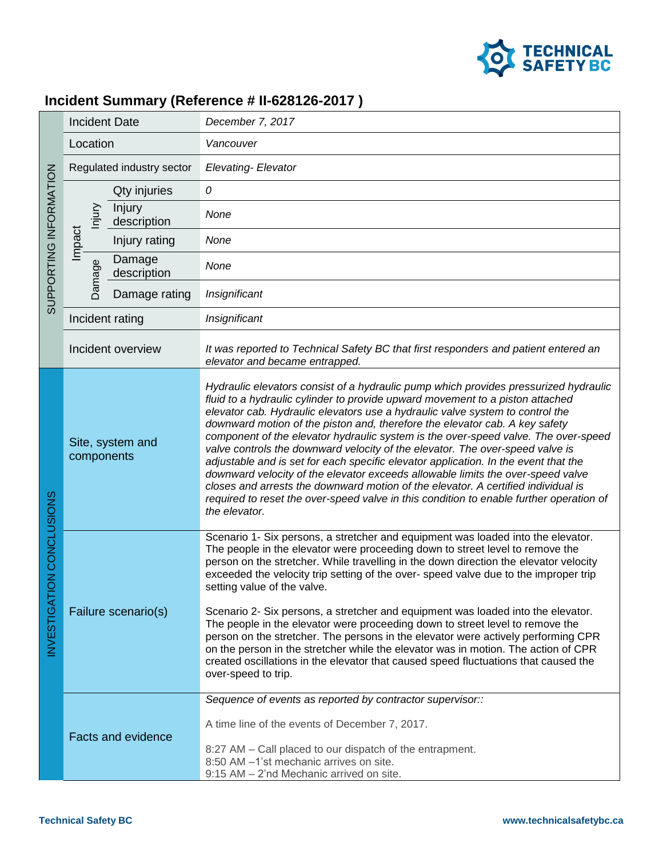

## **Incident Summary (Reference # II-628126-2017 )**

| SUPPORTING INFORMATION   | <b>Incident Date</b>                          |                       | December 7, 2017                                                                                                                                                                                                                                                                                                                                                                                                                                                                                                                                                                                                                                                                                                                                                                                                                                                                        |
|--------------------------|-----------------------------------------------|-----------------------|-----------------------------------------------------------------------------------------------------------------------------------------------------------------------------------------------------------------------------------------------------------------------------------------------------------------------------------------------------------------------------------------------------------------------------------------------------------------------------------------------------------------------------------------------------------------------------------------------------------------------------------------------------------------------------------------------------------------------------------------------------------------------------------------------------------------------------------------------------------------------------------------|
|                          | Location                                      |                       | Vancouver                                                                                                                                                                                                                                                                                                                                                                                                                                                                                                                                                                                                                                                                                                                                                                                                                                                                               |
|                          | Regulated industry sector                     |                       | <b>Elevating- Elevator</b>                                                                                                                                                                                                                                                                                                                                                                                                                                                                                                                                                                                                                                                                                                                                                                                                                                                              |
|                          | lnjury<br>Impact<br>Damage<br>Incident rating | Qty injuries          | 0                                                                                                                                                                                                                                                                                                                                                                                                                                                                                                                                                                                                                                                                                                                                                                                                                                                                                       |
|                          |                                               | Injury<br>description | None                                                                                                                                                                                                                                                                                                                                                                                                                                                                                                                                                                                                                                                                                                                                                                                                                                                                                    |
|                          |                                               | Injury rating         | None                                                                                                                                                                                                                                                                                                                                                                                                                                                                                                                                                                                                                                                                                                                                                                                                                                                                                    |
|                          |                                               | Damage<br>description | None                                                                                                                                                                                                                                                                                                                                                                                                                                                                                                                                                                                                                                                                                                                                                                                                                                                                                    |
|                          |                                               | Damage rating         | Insignificant                                                                                                                                                                                                                                                                                                                                                                                                                                                                                                                                                                                                                                                                                                                                                                                                                                                                           |
|                          |                                               |                       | Insignificant                                                                                                                                                                                                                                                                                                                                                                                                                                                                                                                                                                                                                                                                                                                                                                                                                                                                           |
|                          |                                               | Incident overview     | It was reported to Technical Safety BC that first responders and patient entered an<br>elevator and became entrapped.                                                                                                                                                                                                                                                                                                                                                                                                                                                                                                                                                                                                                                                                                                                                                                   |
| NVESTIGATION CONCLUSIONS | Site, system and<br>components                |                       | Hydraulic elevators consist of a hydraulic pump which provides pressurized hydraulic<br>fluid to a hydraulic cylinder to provide upward movement to a piston attached<br>elevator cab. Hydraulic elevators use a hydraulic valve system to control the<br>downward motion of the piston and, therefore the elevator cab. A key safety<br>component of the elevator hydraulic system is the over-speed valve. The over-speed<br>valve controls the downward velocity of the elevator. The over-speed valve is<br>adjustable and is set for each specific elevator application. In the event that the<br>downward velocity of the elevator exceeds allowable limits the over-speed valve<br>closes and arrests the downward motion of the elevator. A certified individual is<br>required to reset the over-speed valve in this condition to enable further operation of<br>the elevator. |
|                          | Failure scenario(s)                           |                       | Scenario 1- Six persons, a stretcher and equipment was loaded into the elevator.<br>The people in the elevator were proceeding down to street level to remove the<br>person on the stretcher. While travelling in the down direction the elevator velocity<br>exceeded the velocity trip setting of the over- speed valve due to the improper trip<br>setting value of the valve.<br>Scenario 2- Six persons, a stretcher and equipment was loaded into the elevator.<br>The people in the elevator were proceeding down to street level to remove the<br>person on the stretcher. The persons in the elevator were actively performing CPR<br>on the person in the stretcher while the elevator was in motion. The action of CPR<br>created oscillations in the elevator that caused speed fluctuations that caused the<br>over-speed to trip.                                         |
|                          | <b>Facts and evidence</b>                     |                       | Sequence of events as reported by contractor supervisor::<br>A time line of the events of December 7, 2017.<br>8:27 AM - Call placed to our dispatch of the entrapment.<br>8:50 AM -1'st mechanic arrives on site.<br>9:15 AM - 2'nd Mechanic arrived on site.                                                                                                                                                                                                                                                                                                                                                                                                                                                                                                                                                                                                                          |